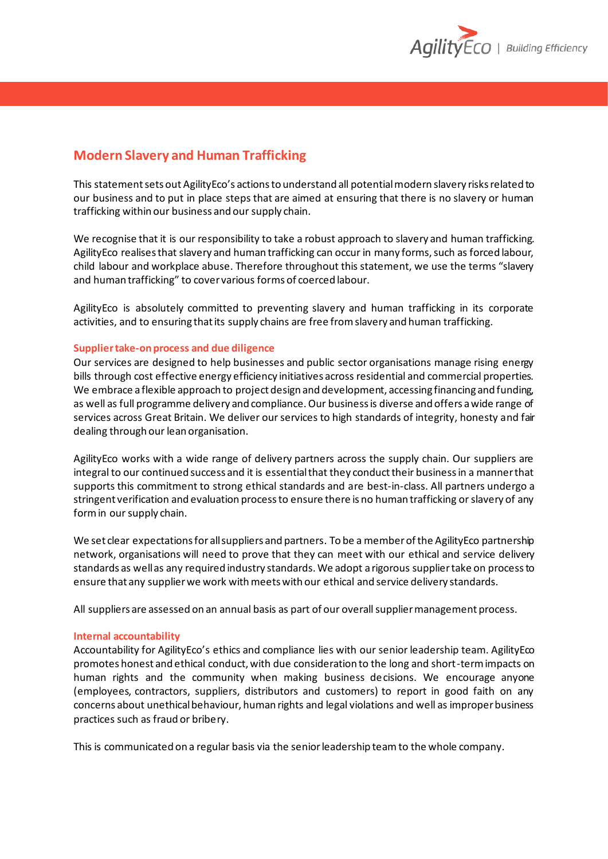

## **Modern Slavery and Human Trafficking**

This statement sets out AgilityEco's actions to understand all potential modern slavery risks related to our business and to put in place steps that are aimed at ensuring that there is no slavery or human trafficking within our business and our supply chain.

We recognise that it is our responsibility to take a robust approach to slavery and human trafficking. AgilityEco realises that slavery and human trafficking can occur in many forms, such as forced labour, child labour and workplace abuse. Therefore throughout this statement, we use the terms "slavery and human trafficking" to cover various forms of coerced labour.

AgilityEco is absolutely committed to preventing slavery and human trafficking in its corporate activities, and to ensuring that its supply chains are free from slavery and human trafficking.

## **Supplier take-on process and due diligence**

Our services are designed to help businesses and public sector organisations manage rising energy bills through cost effective energy efficiency initiatives across residential and commercial properties. We embrace a flexible approach to project design and development, accessing financing and funding, as well as full programme delivery and compliance. Our business is diverse and offers a wide range of services across Great Britain. We deliver our services to high standards of integrity, honesty and fair dealing through our lean organisation.

AgilityEco works with a wide range of delivery partners across the supply chain. Our suppliers are integral to our continued success and it is essential that they conduct their business in a manner that supports this commitment to strong ethical standards and are best-in-class. All partners undergo a stringent verification and evaluation process to ensure there is no human trafficking or slavery of any form in our supply chain.

We set clear expectations for all suppliers and partners. To be a member of the AgilityEco partnership network, organisations will need to prove that they can meet with our ethical and service delivery standards as well as any required industry standards. We adopt a rigorous supplier take on process to ensure that any supplier we work with meets with our ethical and service delivery standards.

All suppliers are assessed on an annual basis as part of our overall supplier management process.

## **Internal accountability**

Accountability for AgilityEco's ethics and compliance lies with our senior leadership team. AgilityEco promotes honest and ethical conduct, with due consideration to the long and short-term impacts on human rights and the community when making business decisions. We encourage anyone (employees, contractors, suppliers, distributors and customers) to report in good faith on any concerns about unethical behaviour, human rights and legal violations and well as improper business practices such as fraud or bribery.

This is communicated on a regular basis via the senior leadership team to the whole company.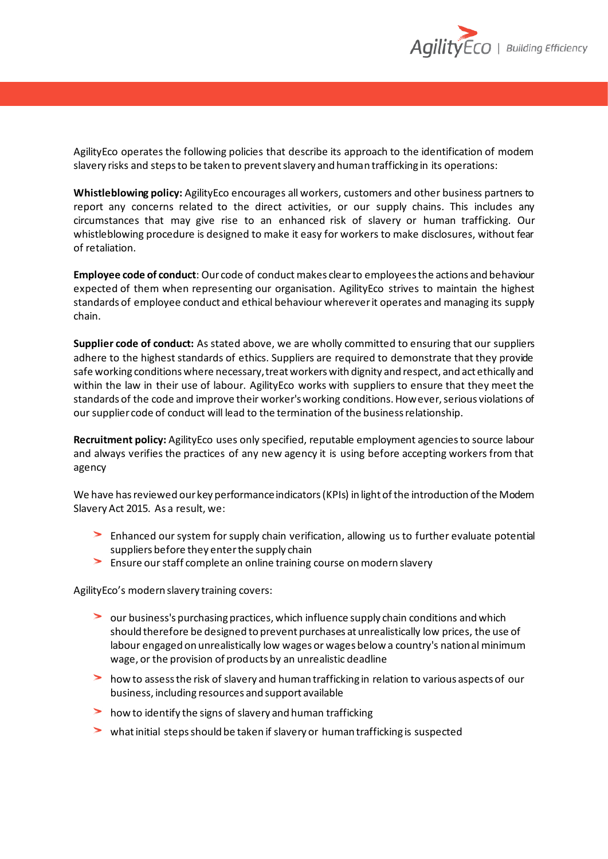

AgilityEco operates the following policies that describe its approach to the identification of modern slavery risks and steps to be taken to prevent slavery and human trafficking in its operations:

**Whistleblowing policy:** AgilityEco encourages all workers, customers and other business partners to report any concerns related to the direct activities, or our supply chains. This includes any circumstances that may give rise to an enhanced risk of slavery or human trafficking. Our whistleblowing procedure is designed to make it easy for workers to make disclosures, without fear of retaliation.

**Employee code of conduct**: Our code of conduct makes clear to employees the actions and behaviour expected of them when representing our organisation. AgilityEco strives to maintain the highest standards of employee conduct and ethical behaviour wherever it operates and managing its supply chain.

**Supplier code of conduct:** As stated above, we are wholly committed to ensuring that our suppliers adhere to the highest standards of ethics. Suppliers are required to demonstrate that they provide safe working conditions where necessary, treat workers with dignity and respect, and act ethically and within the law in their use of labour. AgilityEco works with suppliers to ensure that they meet the standards of the code and improve their worker's working conditions. However, serious violations of oursupplier code of conduct will lead to the termination of the business relationship.

**Recruitment policy:** AgilityEco uses only specified, reputable employment agencies to source labour and always verifies the practices of any new agency it is using before accepting workers from that agency

We have has reviewed our key performance indicators (KPIs) in light of the introduction of the Modern Slavery Act 2015. As a result, we:

- Enhanced our system for supply chain verification, allowing us to further evaluate potential suppliers before they enter the supply chain
- Ensure our staff complete an online training course on modern slavery

AgilityEco's modern slavery training covers:

- our business's purchasing practices, which influence supply chain conditions and which should therefore be designed to prevent purchases at unrealistically low prices, the use of labour engaged on unrealistically low wages or wages below a country's national minimum wage, or the provision of products by an unrealistic deadline
- how to assess the risk of slavery and human trafficking in relation to various aspects of our business, including resources and support available
- how to identify the signs of slavery and human trafficking
- what initial steps should be taken if slavery or human trafficking is suspected